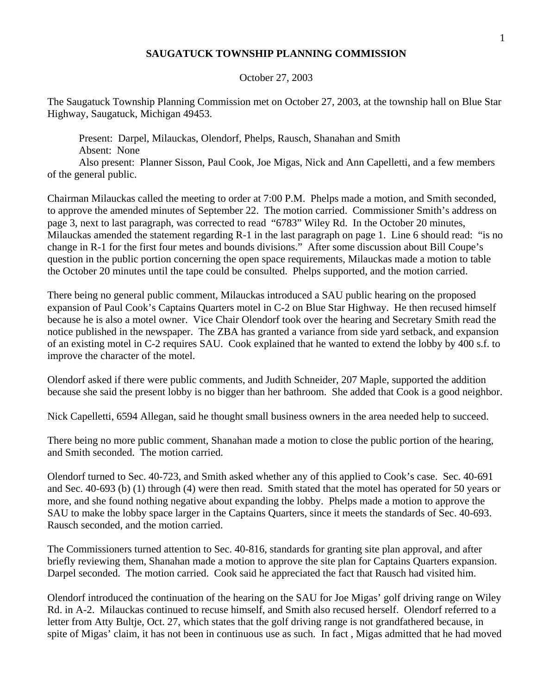## **SAUGATUCK TOWNSHIP PLANNING COMMISSION**

## October 27, 2003

The Saugatuck Township Planning Commission met on October 27, 2003, at the township hall on Blue Star Highway, Saugatuck, Michigan 49453.

 Present: Darpel, Milauckas, Olendorf, Phelps, Rausch, Shanahan and Smith Absent: None

 Also present: Planner Sisson, Paul Cook, Joe Migas, Nick and Ann Capelletti, and a few members of the general public.

Chairman Milauckas called the meeting to order at 7:00 P.M. Phelps made a motion, and Smith seconded, to approve the amended minutes of September 22. The motion carried. Commissioner Smith's address on page 3, next to last paragraph, was corrected to read "6783" Wiley Rd. In the October 20 minutes, Milauckas amended the statement regarding R-1 in the last paragraph on page 1. Line 6 should read: "is no change in R-1 for the first four metes and bounds divisions." After some discussion about Bill Coupe's question in the public portion concerning the open space requirements, Milauckas made a motion to table the October 20 minutes until the tape could be consulted. Phelps supported, and the motion carried.

There being no general public comment, Milauckas introduced a SAU public hearing on the proposed expansion of Paul Cook's Captains Quarters motel in C-2 on Blue Star Highway. He then recused himself because he is also a motel owner. Vice Chair Olendorf took over the hearing and Secretary Smith read the notice published in the newspaper. The ZBA has granted a variance from side yard setback, and expansion of an existing motel in C-2 requires SAU. Cook explained that he wanted to extend the lobby by 400 s.f. to improve the character of the motel.

Olendorf asked if there were public comments, and Judith Schneider, 207 Maple, supported the addition because she said the present lobby is no bigger than her bathroom. She added that Cook is a good neighbor.

Nick Capelletti, 6594 Allegan, said he thought small business owners in the area needed help to succeed.

There being no more public comment, Shanahan made a motion to close the public portion of the hearing, and Smith seconded. The motion carried.

Olendorf turned to Sec. 40-723, and Smith asked whether any of this applied to Cook's case. Sec. 40-691 and Sec. 40-693 (b) (1) through (4) were then read. Smith stated that the motel has operated for 50 years or more, and she found nothing negative about expanding the lobby. Phelps made a motion to approve the SAU to make the lobby space larger in the Captains Quarters, since it meets the standards of Sec. 40-693. Rausch seconded, and the motion carried.

The Commissioners turned attention to Sec. 40-816, standards for granting site plan approval, and after briefly reviewing them, Shanahan made a motion to approve the site plan for Captains Quarters expansion. Darpel seconded. The motion carried. Cook said he appreciated the fact that Rausch had visited him.

Olendorf introduced the continuation of the hearing on the SAU for Joe Migas' golf driving range on Wiley Rd. in A-2. Milauckas continued to recuse himself, and Smith also recused herself. Olendorf referred to a letter from Atty Bultje, Oct. 27, which states that the golf driving range is not grandfathered because, in spite of Migas' claim, it has not been in continuous use as such. In fact , Migas admitted that he had moved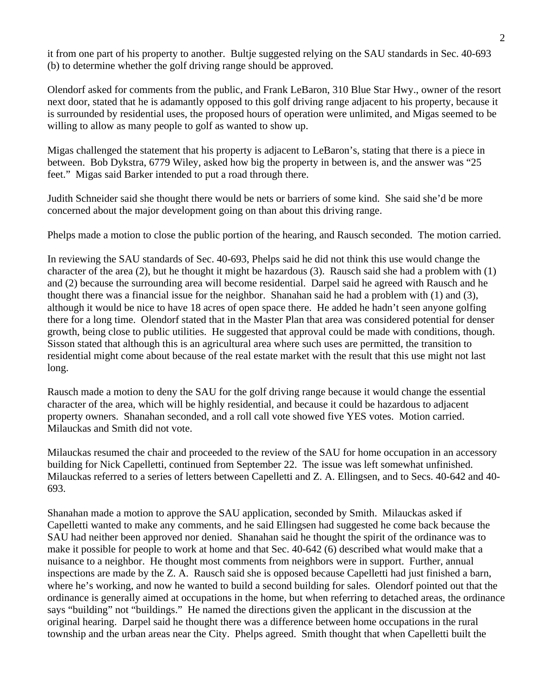it from one part of his property to another. Bultje suggested relying on the SAU standards in Sec. 40-693 (b) to determine whether the golf driving range should be approved.

Olendorf asked for comments from the public, and Frank LeBaron, 310 Blue Star Hwy., owner of the resort next door, stated that he is adamantly opposed to this golf driving range adjacent to his property, because it is surrounded by residential uses, the proposed hours of operation were unlimited, and Migas seemed to be willing to allow as many people to golf as wanted to show up.

Migas challenged the statement that his property is adjacent to LeBaron's, stating that there is a piece in between. Bob Dykstra, 6779 Wiley, asked how big the property in between is, and the answer was "25 feet." Migas said Barker intended to put a road through there.

Judith Schneider said she thought there would be nets or barriers of some kind. She said she'd be more concerned about the major development going on than about this driving range.

Phelps made a motion to close the public portion of the hearing, and Rausch seconded. The motion carried.

In reviewing the SAU standards of Sec. 40-693, Phelps said he did not think this use would change the character of the area (2), but he thought it might be hazardous (3). Rausch said she had a problem with  $(1)$ and (2) because the surrounding area will become residential. Darpel said he agreed with Rausch and he thought there was a financial issue for the neighbor. Shanahan said he had a problem with (1) and (3), although it would be nice to have 18 acres of open space there. He added he hadn't seen anyone golfing there for a long time. Olendorf stated that in the Master Plan that area was considered potential for denser growth, being close to public utilities. He suggested that approval could be made with conditions, though. Sisson stated that although this is an agricultural area where such uses are permitted, the transition to residential might come about because of the real estate market with the result that this use might not last long.

Rausch made a motion to deny the SAU for the golf driving range because it would change the essential character of the area, which will be highly residential, and because it could be hazardous to adjacent property owners. Shanahan seconded, and a roll call vote showed five YES votes. Motion carried. Milauckas and Smith did not vote.

Milauckas resumed the chair and proceeded to the review of the SAU for home occupation in an accessory building for Nick Capelletti, continued from September 22. The issue was left somewhat unfinished. Milauckas referred to a series of letters between Capelletti and Z. A. Ellingsen, and to Secs. 40-642 and 40- 693.

Shanahan made a motion to approve the SAU application, seconded by Smith. Milauckas asked if Capelletti wanted to make any comments, and he said Ellingsen had suggested he come back because the SAU had neither been approved nor denied. Shanahan said he thought the spirit of the ordinance was to make it possible for people to work at home and that Sec. 40-642 (6) described what would make that a nuisance to a neighbor. He thought most comments from neighbors were in support. Further, annual inspections are made by the Z. A. Rausch said she is opposed because Capelletti had just finished a barn, where he's working, and now he wanted to build a second building for sales. Olendorf pointed out that the ordinance is generally aimed at occupations in the home, but when referring to detached areas, the ordinance says "building" not "buildings." He named the directions given the applicant in the discussion at the original hearing. Darpel said he thought there was a difference between home occupations in the rural township and the urban areas near the City. Phelps agreed. Smith thought that when Capelletti built the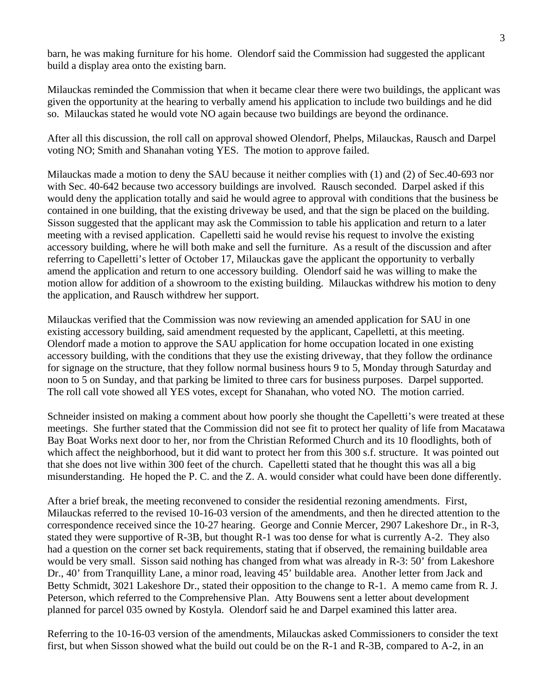barn, he was making furniture for his home. Olendorf said the Commission had suggested the applicant build a display area onto the existing barn.

Milauckas reminded the Commission that when it became clear there were two buildings, the applicant was given the opportunity at the hearing to verbally amend his application to include two buildings and he did so. Milauckas stated he would vote NO again because two buildings are beyond the ordinance.

After all this discussion, the roll call on approval showed Olendorf, Phelps, Milauckas, Rausch and Darpel voting NO; Smith and Shanahan voting YES. The motion to approve failed.

Milauckas made a motion to deny the SAU because it neither complies with (1) and (2) of Sec.40-693 nor with Sec. 40-642 because two accessory buildings are involved. Rausch seconded. Darpel asked if this would deny the application totally and said he would agree to approval with conditions that the business be contained in one building, that the existing driveway be used, and that the sign be placed on the building. Sisson suggested that the applicant may ask the Commission to table his application and return to a later meeting with a revised application. Capelletti said he would revise his request to involve the existing accessory building, where he will both make and sell the furniture. As a result of the discussion and after referring to Capelletti's letter of October 17, Milauckas gave the applicant the opportunity to verbally amend the application and return to one accessory building. Olendorf said he was willing to make the motion allow for addition of a showroom to the existing building. Milauckas withdrew his motion to deny the application, and Rausch withdrew her support.

Milauckas verified that the Commission was now reviewing an amended application for SAU in one existing accessory building, said amendment requested by the applicant, Capelletti, at this meeting. Olendorf made a motion to approve the SAU application for home occupation located in one existing accessory building, with the conditions that they use the existing driveway, that they follow the ordinance for signage on the structure, that they follow normal business hours 9 to 5, Monday through Saturday and noon to 5 on Sunday, and that parking be limited to three cars for business purposes. Darpel supported. The roll call vote showed all YES votes, except for Shanahan, who voted NO. The motion carried.

Schneider insisted on making a comment about how poorly she thought the Capelletti's were treated at these meetings. She further stated that the Commission did not see fit to protect her quality of life from Macatawa Bay Boat Works next door to her, nor from the Christian Reformed Church and its 10 floodlights, both of which affect the neighborhood, but it did want to protect her from this 300 s.f. structure. It was pointed out that she does not live within 300 feet of the church. Capelletti stated that he thought this was all a big misunderstanding. He hoped the P. C. and the Z. A. would consider what could have been done differently.

After a brief break, the meeting reconvened to consider the residential rezoning amendments. First, Milauckas referred to the revised 10-16-03 version of the amendments, and then he directed attention to the correspondence received since the 10-27 hearing. George and Connie Mercer, 2907 Lakeshore Dr., in R-3, stated they were supportive of R-3B, but thought R-1 was too dense for what is currently A-2. They also had a question on the corner set back requirements, stating that if observed, the remaining buildable area would be very small. Sisson said nothing has changed from what was already in R-3: 50' from Lakeshore Dr., 40' from Tranquillity Lane, a minor road, leaving 45' buildable area. Another letter from Jack and Betty Schmidt, 3021 Lakeshore Dr., stated their opposition to the change to R-1. A memo came from R. J. Peterson, which referred to the Comprehensive Plan. Atty Bouwens sent a letter about development planned for parcel 035 owned by Kostyla. Olendorf said he and Darpel examined this latter area.

Referring to the 10-16-03 version of the amendments, Milauckas asked Commissioners to consider the text first, but when Sisson showed what the build out could be on the R-1 and R-3B, compared to A-2, in an